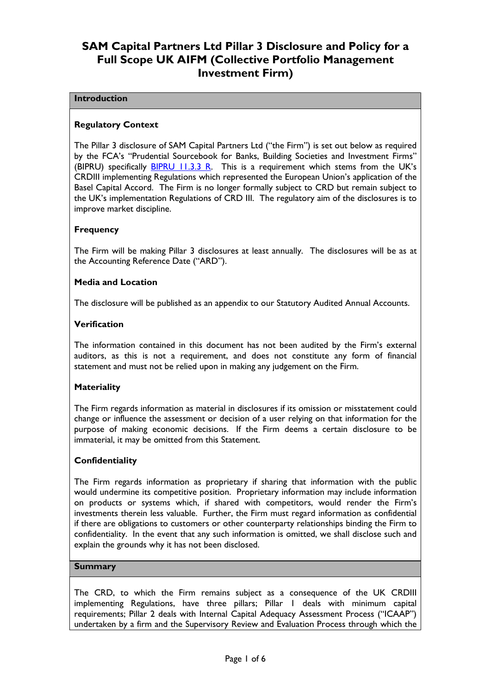# SAM Capital Partners Ltd Pillar 3 Disclosure and Policy for a Full Scope UK AIFM (Collective Portfolio Management Investment Firm)

### **Introduction**

### Regulatory Context

The Pillar 3 disclosure of SAM Capital Partners Ltd ("the Firm") is set out below as required by the FCA's "Prudential Sourcebook for Banks, Building Societies and Investment Firms" (BIPRU) specifically **BIPRU 11.3.3 R.** This is a requirement which stems from the UK's CRDIII implementing Regulations which represented the European Union's application of the Basel Capital Accord. The Firm is no longer formally subject to CRD but remain subject to the UK's implementation Regulations of CRD III. The regulatory aim of the disclosures is to improve market discipline.

### **Frequency**

The Firm will be making Pillar 3 disclosures at least annually. The disclosures will be as at the Accounting Reference Date ("ARD").

### Media and Location

The disclosure will be published as an appendix to our Statutory Audited Annual Accounts.

### Verification

The information contained in this document has not been audited by the Firm's external auditors, as this is not a requirement, and does not constitute any form of financial statement and must not be relied upon in making any judgement on the Firm.

### **Materiality**

The Firm regards information as material in disclosures if its omission or misstatement could change or influence the assessment or decision of a user relying on that information for the purpose of making economic decisions. If the Firm deems a certain disclosure to be immaterial, it may be omitted from this Statement.

### **Confidentiality**

The Firm regards information as proprietary if sharing that information with the public would undermine its competitive position. Proprietary information may include information on products or systems which, if shared with competitors, would render the Firm's investments therein less valuable. Further, the Firm must regard information as confidential if there are obligations to customers or other counterparty relationships binding the Firm to confidentiality. In the event that any such information is omitted, we shall disclose such and explain the grounds why it has not been disclosed.

### **Summary**

The CRD, to which the Firm remains subject as a consequence of the UK CRDIII implementing Regulations, have three pillars; Pillar 1 deals with minimum capital requirements; Pillar 2 deals with Internal Capital Adequacy Assessment Process ("ICAAP") undertaken by a firm and the Supervisory Review and Evaluation Process through which the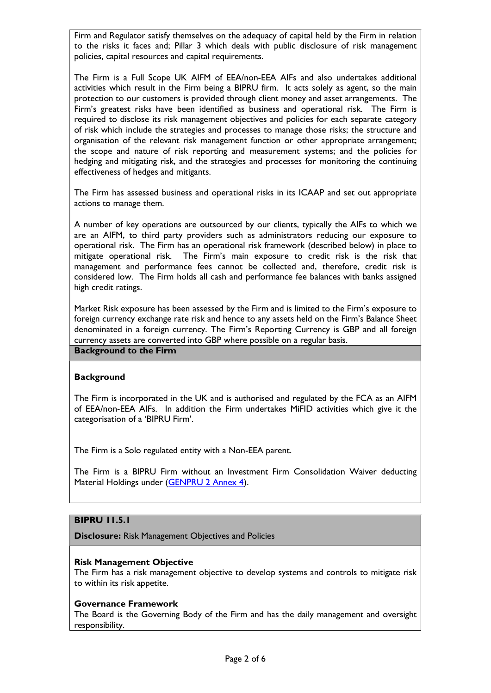Firm and Regulator satisfy themselves on the adequacy of capital held by the Firm in relation to the risks it faces and; Pillar 3 which deals with public disclosure of risk management policies, capital resources and capital requirements.

The Firm is a Full Scope UK AIFM of EEA/non-EEA AIFs and also undertakes additional activities which result in the Firm being a BIPRU firm. It acts solely as agent, so the main protection to our customers is provided through client money and asset arrangements. The Firm's greatest risks have been identified as business and operational risk. The Firm is required to disclose its risk management objectives and policies for each separate category of risk which include the strategies and processes to manage those risks; the structure and organisation of the relevant risk management function or other appropriate arrangement; the scope and nature of risk reporting and measurement systems; and the policies for hedging and mitigating risk, and the strategies and processes for monitoring the continuing effectiveness of hedges and mitigants.

The Firm has assessed business and operational risks in its ICAAP and set out appropriate actions to manage them.

A number of key operations are outsourced by our clients, typically the AIFs to which we are an AIFM, to third party providers such as administrators reducing our exposure to operational risk. The Firm has an operational risk framework (described below) in place to mitigate operational risk. The Firm's main exposure to credit risk is the risk that management and performance fees cannot be collected and, therefore, credit risk is considered low. The Firm holds all cash and performance fee balances with banks assigned high credit ratings.

Market Risk exposure has been assessed by the Firm and is limited to the Firm's exposure to foreign currency exchange rate risk and hence to any assets held on the Firm's Balance Sheet denominated in a foreign currency. The Firm's Reporting Currency is GBP and all foreign currency assets are converted into GBP where possible on a regular basis.

Background to the Firm

### **Background**

The Firm is incorporated in the UK and is authorised and regulated by the FCA as an AIFM of EEA/non-EEA AIFs. In addition the Firm undertakes MiFID activities which give it the categorisation of a 'BIPRU Firm'.

The Firm is a Solo regulated entity with a Non-EEA parent.

The Firm is a BIPRU Firm without an Investment Firm Consolidation Waiver deducting Material Holdings under (GENPRU 2 Annex 4).

### BIPRU 11.5.1

Disclosure: Risk Management Objectives and Policies

### Risk Management Objective

The Firm has a risk management objective to develop systems and controls to mitigate risk to within its risk appetite.

### Governance Framework

The Board is the Governing Body of the Firm and has the daily management and oversight responsibility.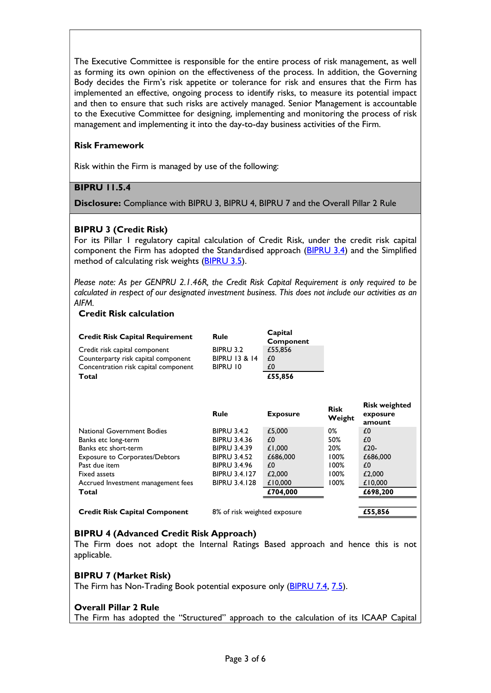The Executive Committee is responsible for the entire process of risk management, as well as forming its own opinion on the effectiveness of the process. In addition, the Governing Body decides the Firm's risk appetite or tolerance for risk and ensures that the Firm has implemented an effective, ongoing process to identify risks, to measure its potential impact and then to ensure that such risks are actively managed. Senior Management is accountable to the Executive Committee for designing, implementing and monitoring the process of risk management and implementing it into the day-to-day business activities of the Firm.

# Risk Framework

Risk within the Firm is managed by use of the following:

### BIPRU 11.5.4

Disclosure: Compliance with BIPRU 3, BIPRU 4, BIPRU 7 and the Overall Pillar 2 Rule

### BIPRU 3 (Credit Risk)

For its Pillar 1 regulatory capital calculation of Credit Risk, under the credit risk capital component the Firm has adopted the Standardised approach (BIPRU 3.4) and the Simplified method of calculating risk weights (BIPRU 3.5).

Please note: As per GENPRU 2.1.46R, the Credit Risk Capital Requirement is only required to be calculated in respect of our designated investment business. This does not include our activities as an AIFM.

### Credit Risk calculation

| <b>Credit Risk Capital Requirement</b> | Rule                     | Capital<br>Component |
|----------------------------------------|--------------------------|----------------------|
| Credit risk capital component          | <b>BIPRU 3.2</b>         | £55.856              |
| Counterparty risk capital component    | <b>BIPRU 13 &amp; 14</b> | £0                   |
| Concentration risk capital component   | BIPRU 10                 | £0                   |
| Total                                  |                          | £55,856              |

|                                       | <b>Rule</b>          | <b>Exposure</b> | <b>Risk</b><br>Weight | <b>Risk weighted</b><br>exposure<br>amount |
|---------------------------------------|----------------------|-----------------|-----------------------|--------------------------------------------|
| National Government Bodies            | <b>BIPRU 3.4.2</b>   | £5,000          | 0%                    | £0                                         |
| Banks etc long-term                   | <b>BIPRU 3.4.36</b>  | £0              | 50%                   | £0                                         |
| Banks etc short-term                  | <b>BIPRU 3.4.39</b>  | £1,000          | 20%                   | $£20-$                                     |
| <b>Exposure to Corporates/Debtors</b> | <b>BIPRU 3.4.52</b>  | £686,000        | 100%                  | £686,000                                   |
| Past due item                         | <b>BIPRU 3.4.96</b>  | £0              | 00% ا                 | £0                                         |
| Fixed assets                          | <b>BIPRU 3.4.127</b> | £2,000          | 00% ا                 | £2,000                                     |
| Accrued Investment management fees    | <b>BIPRU 3.4.128</b> | £10,000         | 00% ا                 | £10,000                                    |
| Total                                 |                      | £704,000        |                       | £698,200                                   |
|                                       |                      |                 |                       |                                            |

Credit Risk Capital Component 8% of risk weighted exposure £55,856

# BIPRU 4 (Advanced Credit Risk Approach)

The Firm does not adopt the Internal Ratings Based approach and hence this is not applicable.

### BIPRU 7 (Market Risk)

The Firm has Non-Trading Book potential exposure only (BIPRU 7.4, 7.5).

### Overall Pillar 2 Rule

The Firm has adopted the "Structured" approach to the calculation of its ICAAP Capital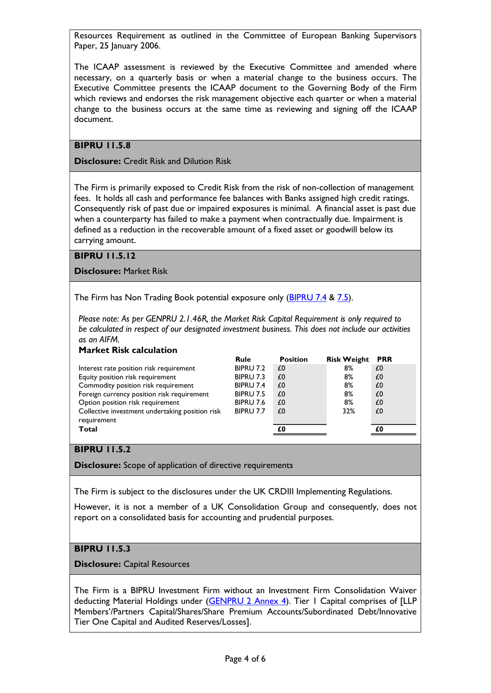Resources Requirement as outlined in the Committee of European Banking Supervisors Paper, 25 January 2006.

The ICAAP assessment is reviewed by the Executive Committee and amended where necessary, on a quarterly basis or when a material change to the business occurs. The Executive Committee presents the ICAAP document to the Governing Body of the Firm which reviews and endorses the risk management objective each quarter or when a material change to the business occurs at the same time as reviewing and signing off the ICAAP document.

# BIPRU 11.5.8

Disclosure: Credit Risk and Dilution Risk

The Firm is primarily exposed to Credit Risk from the risk of non-collection of management fees. It holds all cash and performance fee balances with Banks assigned high credit ratings. Consequently risk of past due or impaired exposures is minimal. A financial asset is past due when a counterparty has failed to make a payment when contractually due. Impairment is defined as a reduction in the recoverable amount of a fixed asset or goodwill below its carrying amount.

### BIPRU 11.5.12

Disclosure: Market Risk

The Firm has Non Trading Book potential exposure only (BIPRU 7.4 & 7.5).

Please note: As per GENPRU 2.1.46R, the Market Risk Capital Requirement is only required to be calculated in respect of our designated investment business. This does not include our activities as an AIFM.

### Market Risk calculation

|                                                 | <b>Rule</b>      | <b>Position</b> | <b>Risk Weight</b> | <b>PRR</b> |
|-------------------------------------------------|------------------|-----------------|--------------------|------------|
| Interest rate position risk requirement         | BIPRU 7.2        | £0              | 8%                 | £0         |
| Equity position risk requirement                | BIPRU 7.3        | £0              | 8%                 | £0         |
| Commodity position risk requirement             | BIPRU 7.4        | £0              | 8%                 | £0         |
| Foreign currency position risk requirement      | <b>BIPRU 7.5</b> | £0              | 8%                 | £0         |
| Option position risk requirement                | <b>BIPRU 7.6</b> | £0              | 8%                 | £0         |
| Collective investment undertaking position risk | BIPRU 7.7        | £0              | 32%                | £0         |
| requirement                                     |                  |                 |                    |            |
| Total                                           |                  | £0              |                    | £O         |

# **BIPRU 11.5.2**

Disclosure: Scope of application of directive requirements

The Firm is subject to the disclosures under the UK CRDIII Implementing Regulations.

However, it is not a member of a UK Consolidation Group and consequently, does not report on a consolidated basis for accounting and prudential purposes.

# BIPRU 11.5.3

Disclosure: Capital Resources

The Firm is a BIPRU Investment Firm without an Investment Firm Consolidation Waiver deducting Material Holdings under (GENPRU 2 Annex 4). Tier 1 Capital comprises of [LLP Members'/Partners Capital/Shares/Share Premium Accounts/Subordinated Debt/Innovative Tier One Capital and Audited Reserves/Losses].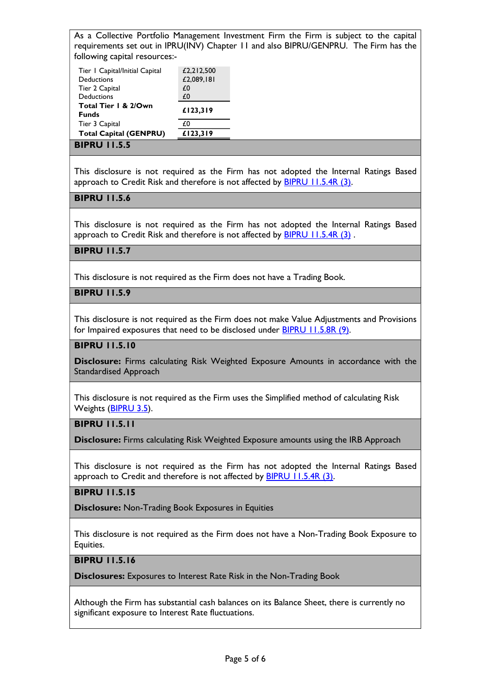As a Collective Portfolio Management Investment Firm the Firm is subject to the capital requirements set out in IPRU(INV) Chapter 11 and also BIPRU/GENPRU. The Firm has the following capital resources:-

| Tier   Capital/Initial Capital<br>Deductions<br>Tier 2 Capital<br><b>Deductions</b> | £2,212,500<br>£2,089,181<br>£0<br>£0 |
|-------------------------------------------------------------------------------------|--------------------------------------|
| Total Tier   & 2/Own<br><b>Funds</b>                                                | £123,319                             |
| Tier 3 Capital                                                                      | £0                                   |
| <b>Total Capital (GENPRU)</b>                                                       | £123,319                             |

#### BIPRU 11.5.5

This disclosure is not required as the Firm has not adopted the Internal Ratings Based approach to Credit Risk and therefore is not affected by **BIPRU 11.5.4R (3)**.

# BIPRU 11.5.6

This disclosure is not required as the Firm has not adopted the Internal Ratings Based approach to Credit Risk and therefore is not affected by BIPRU 11.5.4R (3) .

### BIPRU 11.5.7

This disclosure is not required as the Firm does not have a Trading Book.

# BIPRU 11.5.9

This disclosure is not required as the Firm does not make Value Adjustments and Provisions for Impaired exposures that need to be disclosed under BIPRU 11.5.8R (9).

### BIPRU 11.5.10

Disclosure: Firms calculating Risk Weighted Exposure Amounts in accordance with the Standardised Approach

This disclosure is not required as the Firm uses the Simplified method of calculating Risk Weights (BIPRU 3.5).

# BIPRU 11.5.11

Disclosure: Firms calculating Risk Weighted Exposure amounts using the IRB Approach

This disclosure is not required as the Firm has not adopted the Internal Ratings Based approach to Credit and therefore is not affected by **BIPRU 11.5.4R (3)**.

### BIPRU 11.5.15

Disclosure: Non-Trading Book Exposures in Equities

This disclosure is not required as the Firm does not have a Non-Trading Book Exposure to Equities.

### BIPRU 11.5.16

Disclosures: Exposures to Interest Rate Risk in the Non-Trading Book

Although the Firm has substantial cash balances on its Balance Sheet, there is currently no significant exposure to Interest Rate fluctuations.